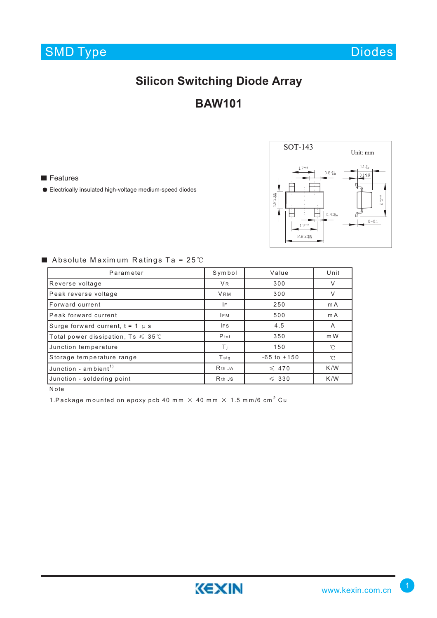

Diodes

# **Silicon Switching Diode Array**

### **BAW101**

**Features** 

Electrically insulated high-voltage medium-speed diodes



Absolute Maximum Ratings Ta =  $25^{\circ}$ C

| Parameter                                            | Symbol                         | Value           | Unit         |
|------------------------------------------------------|--------------------------------|-----------------|--------------|
| Reverse voltage                                      | V <sub>R</sub>                 | 300             | V            |
| Peak reverse voltage                                 | <b>VRM</b>                     | 300             |              |
| Forward current                                      | 250<br>IF                      |                 | mA           |
| Peak forward current                                 | <b>IFM</b>                     | 500             |              |
| Surge forward current, $t = 1$ $\mu$ s               | <b>IFS</b>                     | 4.5             | A            |
| Total power dissipation, $Ts \leqslant 35^{\circ}$ C | $P_{tot}$                      | 350             | m W          |
| Junction temperature                                 | Τi                             | 150             | $^{\circ}$ C |
| Storage temperature range                            | <b>T</b> stg                   | $-65$ to $+150$ |              |
| Junction - ambient <sup>1)</sup>                     | R <sub>th</sub> J <sub>A</sub> | $\leq 470$      | K/W          |
| Junction - soldering point                           | R <sub>th</sub> J <sub>S</sub> | $\leqslant$ 330 | K/W          |

Note

1.Package mounted on epoxy pcb 40 mm  $\times$  40 mm  $\times$  1.5 mm/6 cm<sup>2</sup> Cu